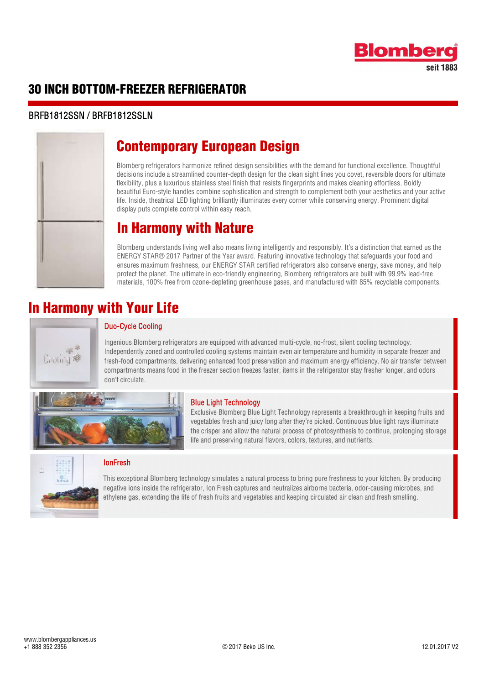

### 30 INCH BOTTOM-FREEZER REFRIGERATOR

#### BRFB1812SSN / BRFB1812SSLN



### Contemporary European Design

Blomberg refrigerators harmonize refined design sensibilities with the demand for functional excellence. Thoughtful decisions include a streamlined counter-depth design for the clean sight lines you covet, reversible doors for ultimate flexibility, plus a luxurious stainless steel finish that resists fingerprints and makes cleaning effortless. Boldly beautiful Euro-style handles combine sophistication and strength to complement both your aesthetics and your active life. Inside, theatrical LED lighting brilliantly illuminates every corner while conserving energy. Prominent digital display puts complete control within easy reach.

### In Harmony with Nature

Blomberg understands living well also means living intelligently and responsibly. It's a distinction that earned us the ENERGY STAR® 2017 Partner of the Year award. Featuring innovative technology that safeguards your food and ensures maximum freshness, our ENERGY STAR certified refrigerators also conserve energy, save money, and help protect the planet. The ultimate in eco-friendly engineering, Blomberg refrigerators are built with 99.9% lead-free materials, 100% free from ozone-depleting greenhouse gases, and manufactured with 85% recyclable components.

### In Harmony with Your Life



#### Duo-Cycle Cooling

Ingenious biomberg remgerators are equipped with advanced multi-cycle, no-host, shent cooling technology.<br>Independently zoned and controlled cooling systems maintain even air temperature and humidity in separate freezer an Ingenious Blomberg refrigerators are equipped with advanced multi-cycle, no-frost, silent cooling technology. fresh-food compartments, delivering enhanced food preservation and maximum energy efficiency. No air transfer between compartments means food in the freezer section freezes faster, items in the refrigerator stay fresher longer, and odors don't circulate.

> Exclusive Blomberg Blue Light Technology represents a breakthrough in keeping fruits and vegetables fresh and juicy long after they're picked. Continuous blue light rays illuminate the crisper and allow the natural process of photosynthesis to continue, prolonging storage

Blue Light Technology





### IonFresh

This exceptional Blomberg technology simulates a natural process to bring pure freshness to your kitchen. By producing negative ions inside the refrigerator, Ion Fresh captures and neutralizes airborne bacteria, odor-causing microbes, and ethylene gas, extending the life of fresh fruits and vegetables and keeping circulated air clean and fresh smelling.

life and preserving natural flavors, colors, textures, and nutrients.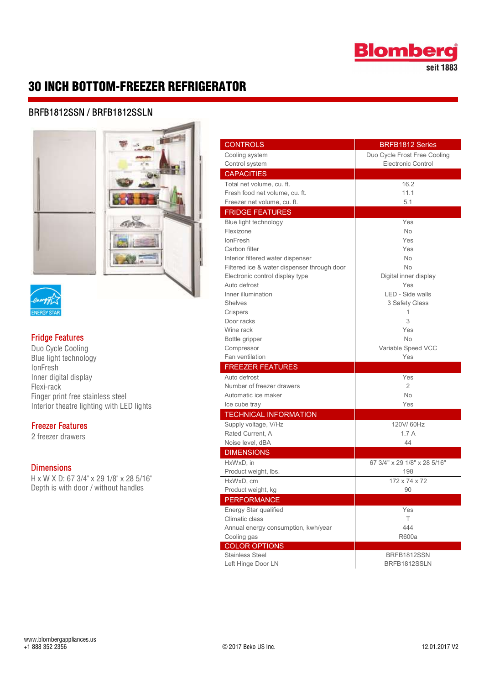

seit 1883

### 30 INCH BOTTOM-FREEZER REFRIGERATOR

#### BRFB1812SSN / BRFB1812SSLN



# **ENERGY STAR**

# **Fridge Features**<br>Duo Cycle Cooling

Blue light technology **IonFresh** Inner digital display Flexi-rack Finger print free stainless steel Interior theatre lighting with LED lights

## **Freezer Features**<br>2 freezer drawers

**Dimensions**<br>H x W X D: 67 3/4" x 29 1/8" x 28 5/16" Depth is with door / without handles

|                 | <b>CONTROLS</b>                             | <b>BRFB1812 Series</b>       |
|-----------------|---------------------------------------------|------------------------------|
|                 | Cooling system                              | Duo Cycle Frost Free Cooling |
|                 | Control system                              | <b>Electronic Control</b>    |
|                 | <b>CAPACITIES</b>                           |                              |
|                 | Total net volume, cu. ft.                   | 16.2                         |
|                 | Fresh food net volume, cu. ft.              | 11.1                         |
|                 | Freezer net volume, cu. ft.                 | 5.1                          |
|                 | <b>FRIDGE FEATURES</b>                      |                              |
|                 | Blue light technology                       | Yes                          |
|                 | Flexizone                                   | No                           |
|                 | <b>lonFresh</b>                             | Yes                          |
|                 | Carbon filter                               | Yes                          |
|                 | Interior filtered water dispenser           | No                           |
|                 | Filtered ice & water dispenser through door | No                           |
|                 | Electronic control display type             | Digital inner display        |
|                 | Auto defrost                                | Yes                          |
|                 | Inner illumination                          | LED - Side walls             |
|                 | <b>Shelves</b>                              | 3 Safety Glass               |
|                 | Crispers                                    |                              |
|                 | Door racks                                  | 3                            |
|                 | Wine rack                                   | Yes                          |
|                 | Bottle gripper                              | <b>No</b>                    |
|                 | Compressor                                  | Variable Speed VCC           |
|                 | Fan ventilation                             | Yes                          |
|                 | <b>FREEZER FEATURES</b>                     |                              |
|                 | Auto defrost                                | Yes                          |
|                 | Number of freezer drawers                   | $\overline{2}$               |
| ss steel        | Automatic ice maker                         | No                           |
| with LED lights | Ice cube tray                               | Yes                          |
|                 | <b>TECHNICAL INFORMATION</b>                |                              |
|                 | Supply voltage, V/Hz                        | 120V/60Hz                    |
|                 | Rated Current, A                            | 1.7A                         |
|                 | Noise level, dBA                            | 44                           |
|                 | <b>DIMENSIONS</b>                           |                              |
|                 | HxWxD, in                                   | 67 3/4" x 29 1/8" x 28 5/16" |
|                 | Product weight, lbs.                        | 198                          |
| 1/8" x 28 5/16" | HxWxD, cm                                   | 172 x 74 x 72                |
| nout handles    | Product weight, kg                          | 90                           |
|                 | <b>PERFORMANCE</b>                          |                              |
|                 | Energy Star qualified                       | Yes                          |
|                 | Climatic class                              | T.                           |
|                 | Annual energy consumption, kwh/year         | 444                          |
|                 | Cooling gas                                 | <b>R600a</b>                 |
|                 | <b>COLOR OPTIONS</b>                        |                              |
|                 | <b>Stainless Steel</b>                      | BRFB1812SSN                  |
|                 | Left Hinge Door LN                          | BRFB1812SSLN                 |
|                 |                                             |                              |